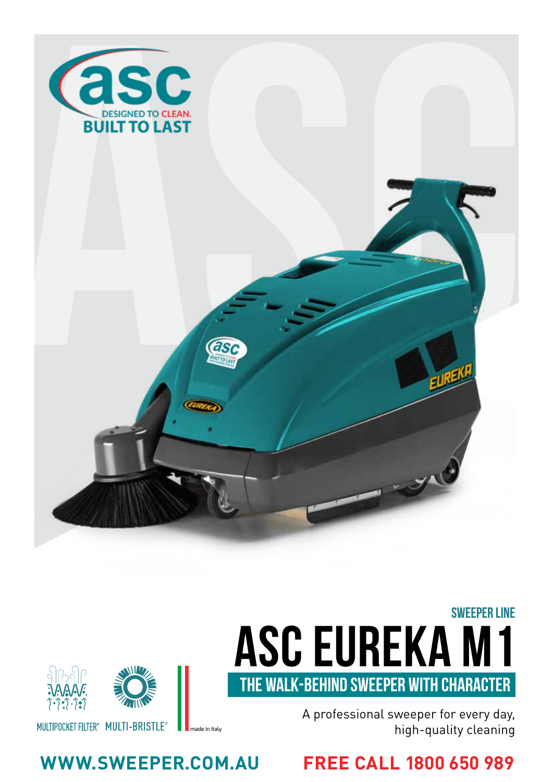

# **ASC Eureka M1** SWEEPER LINE THE WALK-BEHIND SWEEPER WITH CHARACTER



**WWW.SWEEPER.COM.AU FREE CALL 1800 650 989**

MULTIPOCKET FILTER<sup>®</sup> MULTI-BRISTLE<sup>®</sup>

made in Italy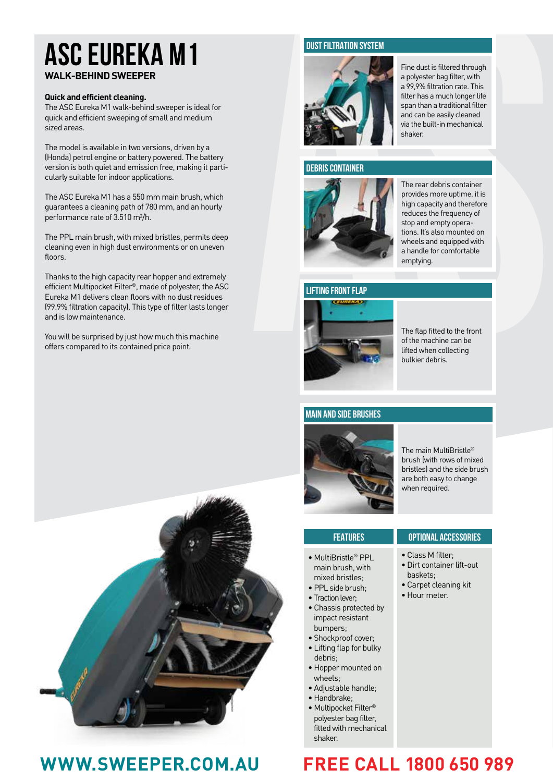## **ASC Eureka M1 WALK-BEHIND SWEEPER**

### **Quick and efficient cleaning.**

The ASC Eureka M1 walk-behind sweeper is ideal for quick and efficient sweeping of small and medium sized areas.

The model is available in two versions, driven by a (Honda) petrol engine or battery powered. The battery version is both quiet and emission free, making it parti cularly suitable for indoor applications.

The ASC Eureka M1 has a 550 mm main brush, which guarantees a cleaning path of 780 mm, and an hourly performance rate of 3.510 m²/h.

The PPL main brush, with mixed bristles, permits deep cleaning even in high dust environments or on uneven floors

Thanks to the high capacity rear hopper and extremely efficient Multipocket Filter ®, made of polyester, the ASC Eureka M1 delivers clean floors with no dust residues (99.9% filtration capacity). This type of filter lasts longer and is low maintenance.

You will be surprised by just how much this machine offers compared to its contained price point.



## **WWW.SWEEPER.COM.AU FREE CALL 1800 650 989**

### **DUST FILTRATION SYSTEM**



Fine dust is filtered through a polyester bag filter, with a 99,9% filtration rate. This filter has a much longer life span than a traditional filter and can be easily cleaned via the built-in mechanical shaker.

### **DEBRIS CONTAINER**



The rear debris container provides more uptime, it is high capacity and therefore reduces the frequency of stop and empty opera tions. It's also mounted on wheels and equipped with a handle for comfortable emptying.

### **LIFTING FRONT FLAP**



The flap fitted to the front of the machine can be lifted when collecting bulkier debris.

### **MAIN AND SIDE BRUSHES**



The main MultiBristle ® brush (with rows of mixed bristles) and the side brush are both easy to change when required.

| <b>FEATURES</b>                                                                                                                                                | <b>OPTIONAL ACCESSORIES</b>                                                                          |
|----------------------------------------------------------------------------------------------------------------------------------------------------------------|------------------------------------------------------------------------------------------------------|
| • MultiBristle® PPL<br>main brush, with<br>mixed bristles:<br>· PPL side brush;<br>• Traction lever:<br>• Chassis protected by<br>impact resistant<br>bumpers; | • Class M filter:<br>· Dirt container lift-out<br>baskets:<br>• Carpet cleaning kit<br>• Hour meter. |

• Lifting flap for bulky debris; • Hopper mounted on wheels;

• Shockproof cover;

- Adjustable handle;
- Handbrake;
- Multipocket Filter® polyester bag filter, fitted with mechanical shaker.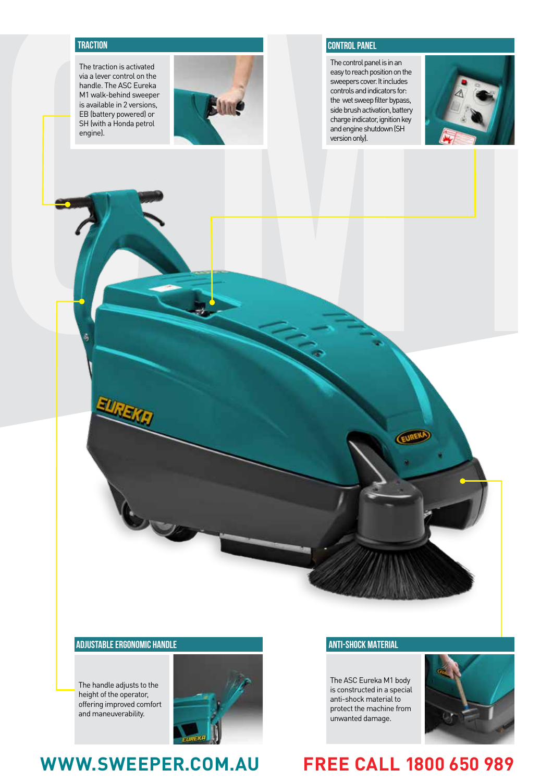The traction is activated via a lever control on the handle. The ASC Eureka M1 walk-behind sweeper is available in 2 versions, EB (battery powered) or SH (with a Honda petrol engine).



### **TRACTION** CONTROL PANEL **CONTROL PANEL**

The control panel is in an easy to reach position on the sweepers cover. It includes controls and indicators for: the wet sweep filter bypass, side brush activation, battery charge indicator, ignition key and engine shutdown (SH version only).



### **ADJUSTABLE ERGONOMIC HANDLE**

The handle adjusts to the height of the operator, offering improved comfort and maneuverability.



## **WWW.SWEEPER.COM.AU FREE CALL 1800 650 989**

### **ANTI-SHOCK MATERIAL**

The ASC Eureka M1 body is constructed in a special anti-shock material to protect the machine from unwanted damage.